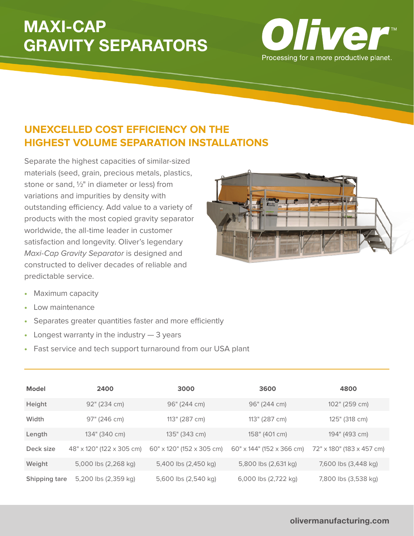## **MAXI-CAP GRAVITY SEPARATORS**



## **UNEXCELLED COST EFFICIENCY ON THE HIGHEST VOLUME SEPARATION INSTALLATIONS**

Separate the highest capacities of similar-sized materials (seed, grain, precious metals, plastics, stone or sand, ½" in diameter or less) from variations and impurities by density with outstanding efficiency. Add value to a variety of products with the most copied gravity separator worldwide, the all-time leader in customer satisfaction and longevity. Oliver's legendary Maxi-Cap Gravity Separator is designed and constructed to deliver decades of reliable and predictable service.



- Maximum capacity
- • Low maintenance
- Separates greater quantities faster and more efficiently
- Longest warranty in the industry  $-3$  years
- Fast service and tech support turnaround from our USA plant

| <b>Model</b>  | 2400                      | 3000                      | 3600                      | 4800                      |
|---------------|---------------------------|---------------------------|---------------------------|---------------------------|
| Height        | 92" (234 cm)              | 96" (244 cm)              | 96" (244 cm)              | 102" (259 cm)             |
| Width         | 97" (246 cm)              | 113" (287 cm)             | 113" (287 cm)             | 125" (318 cm)             |
| Length        | 134" (340 cm)             | 135" (343 cm)             | 158" (401 cm)             | 194" (493 cm)             |
| Deck size     | 48" x 120" (122 x 305 cm) | 60" x 120" (152 x 305 cm) | 60" x 144" (152 x 366 cm) | 72" x 180" (183 x 457 cm) |
| Weight        | 5,000 lbs (2,268 kg)      | 5,400 lbs (2,450 kg)      | 5,800 lbs (2,631 kg)      | 7,600 lbs (3,448 kg)      |
| Shipping tare | 5,200 lbs (2,359 kg)      | 5,600 lbs (2,540 kg)      | 6,000 lbs (2,722 kg)      | 7,800 lbs (3,538 kg)      |